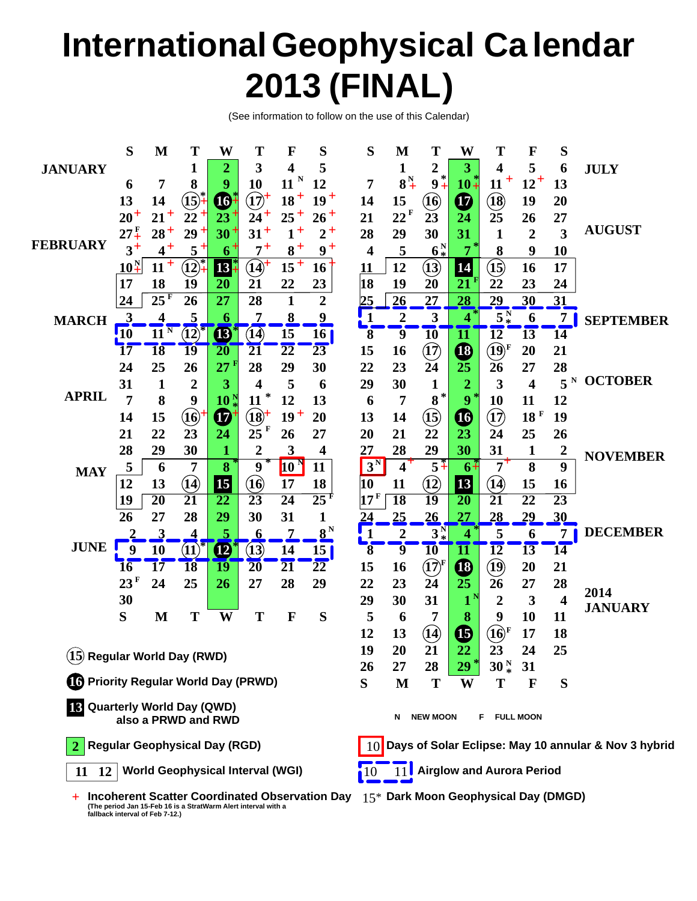# **International Geophysical Ca lendar 2013 (FINAL)**

(See information to follow on the use of this Calendar)

|                                                           | S                                        | M                   | Т                             | W                       | Т                                                              | F               | S                                                                                      | S                       | M                                             | Т                                                                | W                                | Т                                | F                       | S                       |                        |  |  |
|-----------------------------------------------------------|------------------------------------------|---------------------|-------------------------------|-------------------------|----------------------------------------------------------------|-----------------|----------------------------------------------------------------------------------------|-------------------------|-----------------------------------------------|------------------------------------------------------------------|----------------------------------|----------------------------------|-------------------------|-------------------------|------------------------|--|--|
| <b>JANUARY</b>                                            |                                          |                     | 1                             | $\overline{2}$          | 3                                                              | 4               | 5                                                                                      |                         | 1                                             | 2                                                                | 3                                | 4                                | 5                       | 6                       | <b>JULY</b>            |  |  |
|                                                           | 6                                        | 7                   | 8                             | 9                       | 10                                                             | $11^{N}$        | 12                                                                                     | $\overline{7}$          | $8^{\frac{N}{4}}$                             | $9^*$                                                            | $10+$                            | $11 +$                           | $12^+$                  | 13                      |                        |  |  |
| <b>FEBRUARY</b>                                           | 13                                       | 14                  | $(\mathbf{15})^2$             | $\boldsymbol{\Phi}$     | $\overline{(\overline{12})}$                                   | $18 +$          | $19^{+}$                                                                               | 14                      | 15                                            | <b>(16)</b>                                                      | $\boldsymbol{\Phi}$              | $\bigcircled{\textbf{B}}$        | 19                      | 20                      |                        |  |  |
|                                                           | $20^{+}$                                 | $21^{+}$            | $22 +$                        | $23^+$                  | $24^+$                                                         | $25+$           | $26+$                                                                                  | 21                      | $22$ <sup>F</sup>                             | 23                                                               | 24                               | 25                               | 26                      | 27                      |                        |  |  |
|                                                           | $27\frac{F}{4}$                          | $28^{+}$            | $29 +$                        | $30^{+}$                | $31^{+}$                                                       | $1^+$           | $2^+$                                                                                  | 28                      | 29                                            | 30                                                               | 31                               | $\mathbf{1}$                     | $\overline{2}$          | $\overline{\mathbf{3}}$ | <b>AUGUST</b>          |  |  |
|                                                           | $3^+$                                    | $4+$                | $5+$                          | $6+$                    | $7^+$                                                          | $8+$            | $9+$                                                                                   | $\overline{\mathbf{4}}$ | 5                                             | 6 <sup>N</sup>                                                   | 7                                | 8                                | 9                       | 10                      |                        |  |  |
|                                                           | $\underline{10}^N_+$                     | $11 +$              | $\left( \overline{12}\right)$ | 13                      | $\widehat{14}^+$                                               | $15^+$          | 16                                                                                     | 11                      | 12                                            | $\mathbf{13}$                                                    | 14                               | $\bigoplus$                      | 16                      | 17                      |                        |  |  |
|                                                           | 17                                       | 18                  | 19                            | 20                      | 21                                                             | 22              | 23                                                                                     | 18                      | 19                                            | 20                                                               | 21                               | 22                               | 23                      | 24                      |                        |  |  |
|                                                           | 24                                       | 25 <sup>F</sup>     | 26                            | 27                      | 28                                                             | $\mathbf{1}$    | $\overline{2}$                                                                         | 25                      | 26                                            | 27                                                               | 28                               | 29                               | 30                      | 31                      |                        |  |  |
| <b>MARCH</b>                                              | 3                                        | 4                   | 5                             | 6                       | 7                                                              | $\bf{8}$        | $\frac{9}{2}$                                                                          | $\mathbf{1}$            | $\overline{2}$                                | $\overline{\mathbf{3}}$                                          | 4                                | $5^{\mathrm{N}}$                 | 6                       | 7                       | <b>SEPTEMBER</b>       |  |  |
|                                                           | $\frac{1}{2}10$                          | $11^{\overline{N}}$ | $\overline{12}$               | <b>B</b>                | (14)                                                           | 15              | 16 <sub>1</sub>                                                                        | $\overline{\bf 8}$      | $\overline{9}$                                | $\overline{10}$                                                  | 11                               | $\overline{12}$                  | 13                      | 14                      |                        |  |  |
|                                                           | 17                                       | <b>18</b>           | 19                            | 20                      | 21                                                             | $\overline{22}$ | 23                                                                                     | 15                      | 16                                            | $\left( \overline{1}\right)$                                     | $\bigcirc$                       | $\overline{19}$                  | 20                      | 21                      |                        |  |  |
|                                                           | 24                                       | 25                  | 26                            | 27                      | 28                                                             | 29              | 30                                                                                     | 22                      | 23                                            | 24                                                               | 25                               | 26                               | 27                      | 28                      |                        |  |  |
|                                                           | 31                                       | 1                   | 2                             | 3                       | 4                                                              | 5               | 6                                                                                      | 29                      | 30                                            | $\mathbf{1}$                                                     | 2                                | 3                                | $\overline{\mathbf{4}}$ | $5^{\mathrm{N}}$        | <b>OCTOBER</b>         |  |  |
| <b>APRIL</b>                                              | 7                                        | 8                   | 9                             | 10 <sup>9</sup>         | 11                                                             | 12              | 13                                                                                     | 6                       | 7                                             | $8^{*}$                                                          | 9                                | 10                               | 11                      | 12                      |                        |  |  |
|                                                           | 14                                       | 15                  | $\bf \overline{16}$           | $\boldsymbol{\Phi}$     | $\bigcircled{18}^+$                                            | $19+$           | 20                                                                                     | 13                      | 14                                            | $\left( \mathbf{15}\right)$                                      | $\bullet$                        | $\bm{\mathfrak{\textcirc}}$      | 18 F                    | 19                      |                        |  |  |
|                                                           | 21                                       | 22                  | 23                            | 24                      | $25$ <sup>F</sup>                                              | 26              | 27                                                                                     | 20                      | 21                                            | 22                                                               | 23                               | 24                               | 25                      | 26                      |                        |  |  |
| <b>MAY</b>                                                | 28                                       | 29                  | 30                            | 1                       | $\overline{2}$                                                 | 3               | $\overline{\mathbf{4}}$                                                                | 27                      | 28                                            | 29                                                               | 30                               | 31                               | $\mathbf{1}$            | $\boldsymbol{2}$        | <b>NOVEMBER</b>        |  |  |
|                                                           | 5                                        | 6                   | 7                             | $\overline{\mathbf{8}}$ | 9                                                              | 10              | 11                                                                                     | $3^N$                   | $4^+$                                         | $5 +$                                                            | $6+$                             | $7^+$                            | $\overline{\mathbf{8}}$ | 9                       |                        |  |  |
|                                                           | 12                                       | 13                  | (14)                          | 15                      | $({\bf 16})$                                                   | 17              | 18                                                                                     | 10                      | 11                                            | $\bf(12)$                                                        | 13                               | $\mathbf{(\hat{14})}$            | 15                      | 16                      |                        |  |  |
|                                                           | 19                                       | $\overline{20}$     | 21                            | $\overline{22}$         | $\overline{23}$                                                | $\overline{24}$ | $\overline{25}^{\rm f}$                                                                | 17 <sup>F</sup>         | $\overline{18}$                               | $\overline{19}$                                                  | $\overline{20}$                  | $\overline{21}$                  | $\overline{22}$         | $\overline{23}$         |                        |  |  |
|                                                           | 26                                       | 27                  | 28                            | 29                      | 30                                                             | 31              | 1                                                                                      | 24                      | 25                                            | 26                                                               | $\overline{27}$                  | 28                               | 29                      | 30                      |                        |  |  |
|                                                           |                                          | $\overline{3}$      | 4                             | 5                       | $\overline{\mathbf{6}}$                                        | $\overline{1}$  | $8^{\text{N}}$                                                                         | $\mathbf{1}$            | $\mathbf{c}$                                  | $3^{\mathrm{N}}_*$                                               | 4                                | 5                                | 6                       | $\overline{7}$          | <b>DECEMBER</b>        |  |  |
| <b>JUNE</b>                                               | $\boldsymbol{9}$                         | 10                  | $(11)^*$                      | $\boldsymbol{\Phi}$     | (13)                                                           | 14              | 15 <sup>1</sup>                                                                        | $\overline{\mathbf{8}}$ | $\overline{9}$                                | $\overline{10}$                                                  | $\overline{\mathbf{11}}$         | $\overline{12}$                  | 13                      | 14                      |                        |  |  |
|                                                           | 16                                       | 17                  | <b>18</b>                     | 19                      | $\overline{20}$                                                | $\overline{21}$ | $\overline{22}$                                                                        | 15                      | 16                                            | $\boldsymbol{(\!\!\left.\mathbf{1}\!\!\right)^{\!\!\mathrm{F}}}$ | $\mathbf \Phi$                   | $\bm{\mathrm{(19)}}$             | 20                      | 21                      |                        |  |  |
|                                                           | $23$ <sup>F</sup>                        | 24                  | 25                            | 26                      | 27                                                             | 28              | 29                                                                                     | 22                      | 23                                            | 24                                                               | 25                               | 26                               | 27                      | 28                      |                        |  |  |
|                                                           | 30                                       |                     |                               |                         |                                                                |                 |                                                                                        | 29                      | 30                                            | 31                                                               | $1^{\prime}$                     | $\overline{2}$                   | $\mathbf{3}$            | $\overline{\mathbf{4}}$ | 2014<br><b>JANUARY</b> |  |  |
|                                                           | S                                        | M                   | T                             | W                       | T                                                              | $\mathbf F$     | S                                                                                      | 5                       | 6                                             | 7                                                                | 8                                | 9                                | 10                      | 11                      |                        |  |  |
|                                                           |                                          |                     |                               |                         |                                                                |                 |                                                                                        | 12                      | 13                                            | $\mathbf{Q}$                                                     | $\bf \Phi$                       | $\overrightarrow{10}^{\text{F}}$ | 17                      | 18                      |                        |  |  |
|                                                           | 15 Regular World Day (RWD)               |                     |                               |                         |                                                                |                 |                                                                                        |                         |                                               | 21                                                               | 22                               | 23                               | 24                      | 25                      |                        |  |  |
|                                                           |                                          |                     |                               |                         |                                                                |                 |                                                                                        |                         |                                               | 28                                                               | 29                               | 30 <sup> N</sup>                 | 31                      |                         |                        |  |  |
| <b>16</b> Priority Regular World Day (PRWD)               |                                          |                     |                               |                         |                                                                |                 |                                                                                        |                         | M                                             | Т                                                                | W                                | T                                | F                       | S                       |                        |  |  |
| <b>B</b> Quarterly World Day (QWD)<br>also a PRWD and RWD |                                          |                     |                               |                         |                                                                |                 |                                                                                        |                         | <b>NEW MOON</b><br><b>FULL MOON</b><br>N<br>F |                                                                  |                                  |                                  |                         |                         |                        |  |  |
| <b>Regular Geophysical Day (RGD)</b>                      |                                          |                     |                               |                         |                                                                |                 |                                                                                        |                         |                                               | 10 Days of Solar Eclipse: May 10 annular & Nov 3 hybrid          |                                  |                                  |                         |                         |                        |  |  |
|                                                           | 11 12   World Geophysical Interval (WGI) |                     |                               |                         |                                                                |                 |                                                                                        |                         |                                               |                                                                  | <b>Airglow and Aurora Period</b> |                                  |                         |                         |                        |  |  |
|                                                           | fallback interval of Feb 7-12.)          |                     |                               |                         | (The period Jan 15-Feb 16 is a StratWarm Alert interval with a |                 | Incoherent Scatter Coordinated Observation Day $15^*$ Dark Moon Geophysical Day (DMGD) |                         |                                               |                                                                  |                                  |                                  |                         |                         |                        |  |  |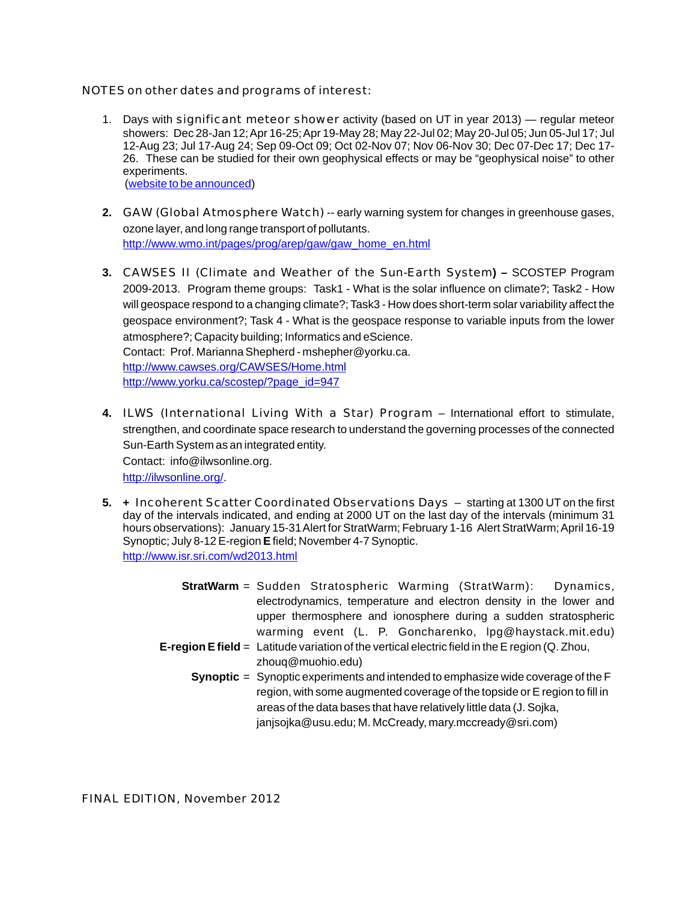NOTES on other dates and programs of interest:

- 1. Days with significant meteor shower activity (based on UT in year 2013) regular meteor showers: Dec 28-Jan 12; Apr 16-25; Apr 19-May 28; May 22-Jul 02; May 20-Jul 05; Jun 05-Jul 17; Jul 12-Aug 23; Jul 17-Aug 24; Sep 09-Oct 09; Oct 02-Nov 07; Nov 06-Nov 30; Dec 07-Dec 17; Dec 17- 26. These can be studied for their own geophysical effects or may be "geophysical noise" to other experiments. (website to be announced)
- **2.** GAW (Global Atmosphere Watch) -- early warning system for changes in greenhouse gases, ozone layer, and long range transport of pollutants. http://www.wmo.int/pages/prog/arep/gaw/gaw\_home\_en.html
- **3.** CAWSES II (Climate and Weather of the Sun-Earth System**)** SCOSTEP Program 2009-2013. Program theme groups: Task1 - What is the solar influence on climate?; Task2 - How will geospace respond to a changing climate?; Task3 - How does short-term solar variability affect the geospace environment?; Task 4 - What is the geospace response to variable inputs from the lower atmosphere?; Capacity building; Informatics and eScience. Contact: Prof. Marianna Shepherd - mshepher@yorku.ca. <http://www.cawses.org/CAWSES/Home.html> [http://www.yorku.ca/scostep/?page\\_id=947](http://www.yorku.ca/scostep/?page_id=947)
- **4.** ILWS (International Living With a Star) Program International effort to stimulate, strengthen, and coordinate space research to understand the governing processes of the connected Sun-Earth System as an integrated entity. Contact: info@ilwsonline.org. <http://ilwsonline.org/>.
- **5. +** Incoherent Scatter Coordinated Observations Days starting at 1300 UT on the first day of the intervals indicated, and ending at 2000 UT on the last day of the intervals (minimum 31 hours observations): January 15-31 Alert for StratWarm; February 1-16 Alert StratWarm; April 16-19 Synoptic; July 8-12 E-region **E**field; November 4-7 Synoptic. http://www.isr.sri.com/wd2013.html
	- **StratWarm** = Sudden Stratospheric Warming (StratWarm): Dynamics, electrodynamics, temperature and electron density in the lower and upper thermosphere and ionosphere during a sudden stratospheric warming event (L. P. Goncharenko, lpg@haystack.mit.edu) **E-region E field** = Latitude variation of the vertical electric field in the E region (Q. Zhou, zhouq@muohio.edu) **Synoptic** = Synoptic experiments and intended to emphasize wide coverage of the F
		- region, with some augmented coverage of the topside or E region to fill in areas of the data bases that have relatively little data (J. Sojka, janjsojka@usu.edu; M. McCready, mary.mccready@sri.com)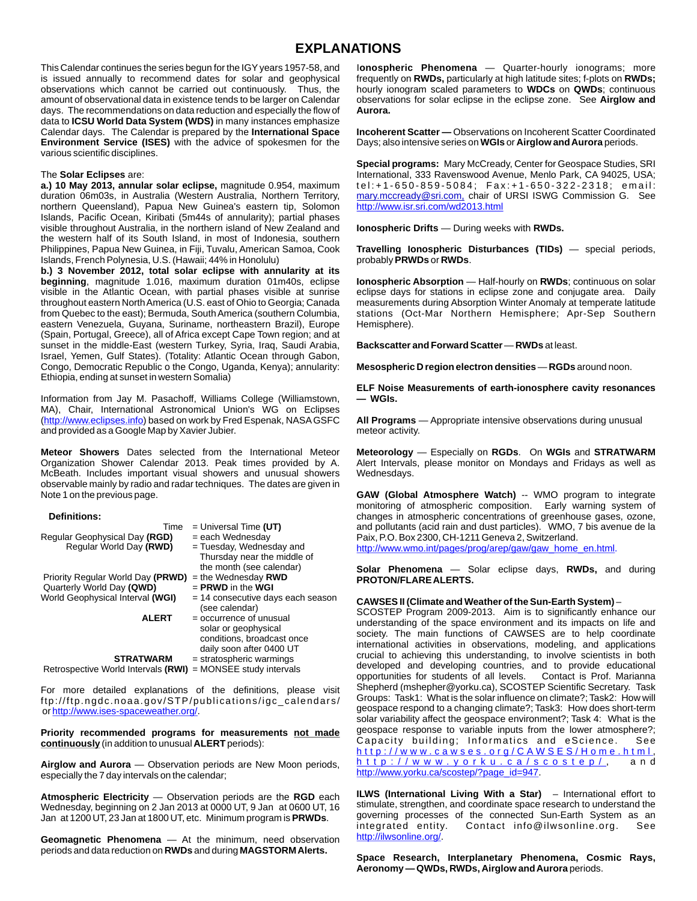## **EXPLANATIONS**

This Calendar continues the series begun for the IGYyears 1957-58, and is issued annually to recommend dates for solar and geophysical observations which cannot be carried out continuously. Thus, the amount of observational data in existence tends to be larger on Calendar days. The recommendations on data reduction and especially the flow of data to **ICSU World Data System (WDS)** in many instances emphasize Calendar days. The Calendar is prepared by the **International Space Environment Service (ISES)** with the advice of spokesmen for the various scientific disciplines.

#### The **Solar Eclipses** are:

**a.) 10 May 2013, annular solar eclipse,** magnitude 0.954, maximum duration 06m03s, in Australia (Western Australia, Northern Territory, northern Queensland), Papua New Guinea's eastern tip, Solomon Islands, Pacific Ocean, Kiribati (5m44s of annularity); partial phases visible throughout Australia, in the northern island of New Zealand and the western half of its South Island, in most of Indonesia, southern Philippines, Papua New Guinea, in Fiji, Tuvalu, American Samoa, Cook Islands, French Polynesia, U.S. (Hawaii; 44% in Honolulu)

**b.) 3 November 2012, total solar eclipse with annularity at its beginning**, magnitude 1.016, maximum duration 01m40s, eclipse visible in the Atlantic Ocean, with partial phases visible at sunrise throughout eastern North America (U.S. east of Ohio to Georgia; Canada from Quebec to the east); Bermuda, South America (southern Columbia, eastern Venezuela, Guyana, Suriname, northeastern Brazil), Europe (Spain, Portugal, Greece), all of Africa except Cape Town region; and at sunset in the middle-East (western Turkey, Syria, Iraq, Saudi Arabia, Israel, Yemen, Gulf States). (Totality: Atlantic Ocean through Gabon, Congo, Democratic Republic o the Congo, Uganda, Kenya); annularity: Ethiopia, ending at sunset in western Somalia)

Information from Jay M. Pasachoff, Williams College (Williamstown, MA), Chair, International Astronomical Union's WG on Eclipses (http://www.eclipses.info) based on work by Fred Espenak, NASA GSFC and provided as a Google Map by Xavier Jubier.

**Meteor Showers** Dates selected from the International Meteor Organization Shower Calendar 2013. Peak times provided by A. McBeath. Includes important visual showers and unusual showers observable mainly by radio and radar techniques. The dates are given in Note 1 on the previous page.

#### **Definitions:**

| Time                                | $=$ Universal Time (UT)           |
|-------------------------------------|-----------------------------------|
| Regular Geophysical Day (RGD)       | $=$ each Wednesday                |
| Regular World Day (RWD)             | = Tuesday, Wednesday and          |
|                                     | Thursday near the middle of       |
|                                     | the month (see calendar)          |
| Priority Regular World Day (PRWD)   | $=$ the Wednesday RWD             |
| Quarterly World Day (QWD)           | $=$ PRWD in the WGI               |
| World Geophysical Interval (WGI)    | = 14 consecutive days each season |
|                                     | (see calendar)                    |
| <b>ALERT</b>                        | $=$ occurrence of unusual         |
|                                     | solar or geophysical              |
|                                     | conditions, broadcast once        |
|                                     | daily soon after 0400 UT          |
| <b>STRATWARM</b>                    | $=$ stratospheric warmings        |
| Retrospective World Intervals (RWI) | $=$ MONSEE study intervals        |

For more detailed explanations of the definitions, please visit ftp://ftp.ngdc.noaa.gov/STP/publications/igc\_calendars/ or http://www.ises-spaceweather.org/.

**Priority recommended programs for measurements not made continuously** (in addition to unusual **ALERT** periods):

**Airglow and Aurora** — Observation periods are New Moon periods, especially the 7 day intervals on the calendar;

**Atmospheric Electricity** — Observation periods are the **RGD** each Wednesday, beginning on 2 Jan 2013 at 0000 UT, 9 Jan at 0600 UT, 16 Jan at 1200 UT, 23 Jan at 1800 UT, etc. Minimum program is **PRWDs**.

**Geomagnetic Phenomena** — At the minimum, need observation periods and data reduction on **RWDs** and during **MAGSTORM Alerts.**

I**onospheric Phenomena** — Quarter-hourly ionograms; more frequently on **RWDs,** particularly at high latitude sites; f-plots on **RWDs;** hourly ionogram scaled parameters to **WDCs** on **QWDs**; continuous observations for solar eclipse in the eclipse zone. See **Airglow and Aurora.**

**Incoherent Scatter —** Observations on Incoherent Scatter Coordinated Days; also intensive series on **WGIs** or **Airglow and Aurora** periods.

**Special programs:** Mary McCready, Center for Geospace Studies, SRI International, 333 Ravenswood Avenue, Menlo Park, CA 94025, USA; tel:+1-650-859-5084; Fax:+1-650-322-2318; email: [mary.mccready@sri.com,](mailto:mary.mccready@sri.com,) chair of URSI ISWG Commission G. See http://www.isr.sri.com/wd2013.html

**Ionospheric Drifts** — During weeks with **RWDs.**

**Travelling Ionospheric Disturbances (TIDs)** — special periods, probably **PRWDs** or **RWDs**.

**Ionospheric Absorption** — Half-hourly on **RWDs**; continuous on solar eclipse days for stations in eclipse zone and conjugate area. Daily measurements during Absorption Winter Anomaly at temperate latitude stations (Oct-Mar Northern Hemisphere; Apr-Sep Southern Hemisphere).

**Backscatter and Forward Scatter** — **RWDs** at least.

**Mesospheric D region electron densities** — **RGDs** around noon.

**ELF Noise Measurements of earth-ionosphere cavity resonances — WGIs.**

**All Programs** — Appropriate intensive observations during unusual meteor activity.

**Meteorology** — Especially on **RGDs**. On **WGIs** and **STRATWARM**  Alert Intervals, please monitor on Mondays and Fridays as well as Wednesdays.

**GAW (Global Atmosphere Watch)** -- WMO program to integrate monitoring of atmospheric composition. Early warning system of changes in atmospheric concentrations of greenhouse gases, ozone, and pollutants (acid rain and dust particles). WMO, 7 bis avenue de la Paix, P.O. Box 2300, CH-1211 Geneva 2, Switzerland.

http://www.wmo.int/pages/prog/arep/gaw/gaw\_home\_en.html.

**Solar Phenomena** — Solar eclipse days, **RWDs,** and during **PROTON/FLARE ALERTS.**

### **CAWSES II (Climate and Weather of the Sun-Earth System)** –

SCOSTEP Program 2009-2013. Aim is to significantly enhance our understanding of the space environment and its impacts on life and society. The main functions of CAWSES are to help coordinate international activities in observations, modeling, and applications crucial to achieving this understanding, to involve scientists in both developed and developing countries, and to provide educational opportunities for students of all levels. Contact is Prof. Marianna opportunities for students of all levels. Shepherd (mshepher@yorku.ca), SCOSTEP Scientific Secretary. Task Groups: Task1: What is the solar influence on climate?; Task2: How will geospace respond to a changing climate?; Task3: How does short-term solar variability affect the geospace environment?; Task 4: What is the geospace response to variable inputs from the lower atmosphere?; Capacity building; Informatics and eScience. See <u>h t t p : / / w w w . c a w s e s . o r g / C A W S E S / H o m e . h t m l ,</u> , a n d http://www.yorku.ca/scostep/?page\_id=947. h t t p : / / w w w . y o r k u . c a / s c o s t e p / ,

**ILWS (International Living With a Star)** – International effort to stimulate, strengthen, and coordinate space research to understand the governing processes of the connected Sun-Earth System as an integrated entity. Contact info@ilwsonline.org. See Contact info@ilwsonline.org. See http://ilwsonline.org/.

**Space Research, Interplanetary Phenomena, Cosmic Rays, Aeronomy — QWDs, RWDs, Airglow and Aurora** periods.